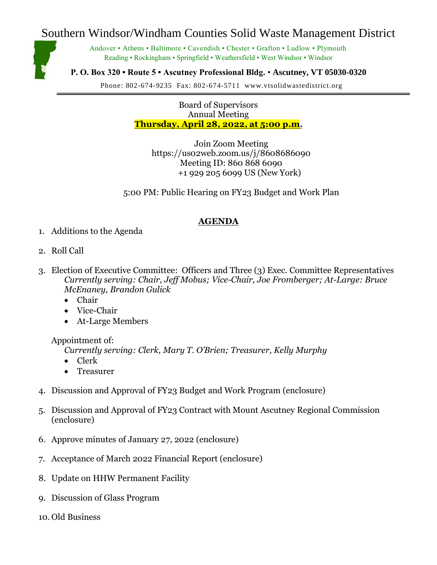## Southern Windsor/Windham Counties Solid Waste Management District

Andover • Athens • Baltimore • Cavendish • Chester • Grafton • Ludlow • Plymouth Reading • Rockingham • Springfield • Weathersfield • West Windsor • Windsor

**P. O. Box 320 • Route 5 • Ascutney Professional Bldg.** • **Ascutney, VT 05030-0320**

Phone: 802-674-9235 Fax: 802-674-5711 www.vtsolidwastedistrict.org

Board of Supervisors Annual Meeting **Thursday, April 28, 2022, at 5:00 p.m.**

Join Zoom Meeting https://us02web.zoom.us/j/8608686090 Meeting ID: 860 868 6090 +1 929 205 6099 US (New York)

5:00 PM: Public Hearing on FY23 Budget and Work Plan

## **AGENDA**

- 1. Additions to the Agenda
- 2. Roll Call
- 3. Election of Executive Committee: Officers and Three (3) Exec. Committee Representatives *Currently serving: Chair, Jeff Mobus; Vice-Chair, Joe Fromberger; At-Large: Bruce McEnaney, Brandon Gulick*
	- Chair
	- Vice-Chair
	- At-Large Members

Appointment of:

*Currently serving: Clerk, Mary T. O'Brien; Treasurer, Kelly Murphy*

- Clerk
- **Treasurer**
- 4. Discussion and Approval of FY23 Budget and Work Program (enclosure)
- 5. Discussion and Approval of FY23 Contract with Mount Ascutney Regional Commission (enclosure)
- 6. Approve minutes of January 27, 2022 (enclosure)
- 7. Acceptance of March 2022 Financial Report (enclosure)
- 8. Update on HHW Permanent Facility
- 9. Discussion of Glass Program
- 10. Old Business